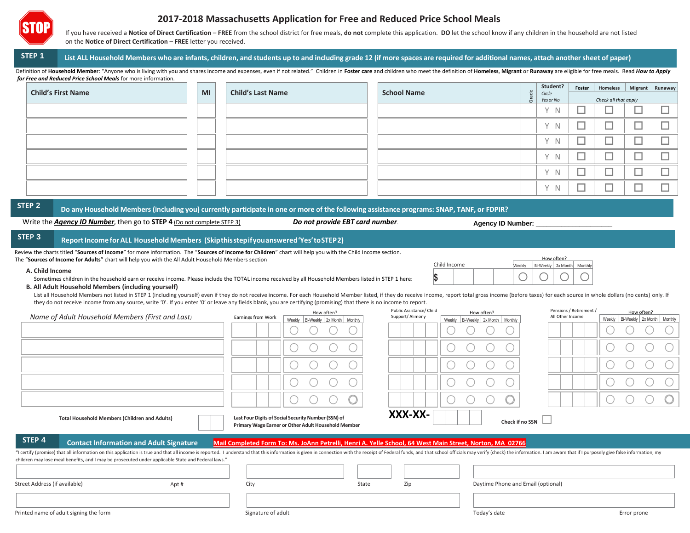

# **2017-2018 Massachusetts Application for Free and Reduced Price School Meals**

If you have received a Notice of Direct Certification - FREE from the school district for free meals, do not complete this application. DO let the school know if any children in the household are not listed on the **Notice of Direct Certification** – **FREE** letter you received.

# STEP 1 List ALL Household Members who are infants, children, and students up to and including grade 12 (if more spaces are required for additional names, attach another sheet of paper)

Definition of Household Member: "Anyone who is living with you and shares income and expenses, even if not related." Children in Foster care and children who meet the definition of Homeless, Migrant or Runaway are eligible  *for Free and Reduced Price School Meals* for more information.

| <b>Child's First Name</b> | MI | <b>Child's Last Name</b> | <b>School Name</b> |       | Student?            | Foster | Homeless   Migrant   Runaway |                          |  |
|---------------------------|----|--------------------------|--------------------|-------|---------------------|--------|------------------------------|--------------------------|--|
|                           |    |                          |                    | Grade | Circle<br>Yes or No |        | Check all that apply         |                          |  |
|                           |    |                          |                    |       | Y N                 |        |                              | <b>Contract Contract</b> |  |
|                           |    |                          |                    |       | Y N                 |        |                              |                          |  |
|                           |    |                          |                    |       | Y N                 |        |                              | _                        |  |
|                           |    |                          |                    |       | Y N                 |        |                              | _                        |  |
|                           |    |                          |                    |       | Y N                 |        | _                            | _                        |  |
|                           |    |                          |                    |       | Y N                 |        |                              |                          |  |

STEP 2 Do any Household Members (including you) currently participate in one or more of the following assistance programs: SNAP, TANF, or FDPIR?

Write the *Agency ID Number*, then go to **STEP 4** (Do not complete STEP 3) *Do not provide EBT card number*.

**Agency ID Number: \_\_\_\_\_\_\_\_\_\_\_\_\_\_\_\_\_\_\_\_\_**

**\$**

How often? eekly Bi-Weekly 2x Month Monthly

Pensions / Retirement /

Child Income

#### **STEP 3 ReportIncome forALL Household Members (Skipthisstepifyouanswered'Yes'toSTEP2)**

| Review the charts titled "Sources of Income" for more information. The "Sources of Income for Children" chart will help you with the Child Income section. |  |  |
|------------------------------------------------------------------------------------------------------------------------------------------------------------|--|--|
| The " <b>Sources of Income for Adults</b> " chart will help you with the All Adult Household Members section                                               |  |  |

#### **A. Child Income**

Sometimes children in the household earn or receive income. Please include the TOTAL income received by all Household Members listed in STEP 1 here:

### **B. All Adult Household Members (including yourself)**

List all Household Members not listed in STEP 1 (including yourself) even if they do not receive income. For each Household Member listed, if they do receive income, report total gross income (before taxes) for each source they do not receive income from any source, write '0'. If you enter '0' or leave any fields blank, you are certifying (promising) that there is no income to report.

|                               |                                                                                                                                                                                                                                                                                                                                     |                    | How often?                                                                                                 | Public Assistance/ Child | How often?                             | Pensions / Retirement / | How often?                           |  |
|-------------------------------|-------------------------------------------------------------------------------------------------------------------------------------------------------------------------------------------------------------------------------------------------------------------------------------------------------------------------------------|--------------------|------------------------------------------------------------------------------------------------------------|--------------------------|----------------------------------------|-------------------------|--------------------------------------|--|
|                               | Name of Adult Household Members (First and Last)                                                                                                                                                                                                                                                                                    | Earnings from Work | Weekly Bi-Weekly 2x Month   Monthly                                                                        | Support/Alimony          | Bi-Weekly 2x Month   Monthly<br>Weekly | All Other Income        | Bi-Weekly 2x Month Monthly<br>Weekly |  |
|                               |                                                                                                                                                                                                                                                                                                                                     |                    |                                                                                                            |                          |                                        |                         |                                      |  |
|                               |                                                                                                                                                                                                                                                                                                                                     |                    |                                                                                                            |                          |                                        |                         |                                      |  |
|                               |                                                                                                                                                                                                                                                                                                                                     |                    |                                                                                                            |                          |                                        |                         |                                      |  |
|                               |                                                                                                                                                                                                                                                                                                                                     |                    |                                                                                                            |                          |                                        |                         |                                      |  |
|                               |                                                                                                                                                                                                                                                                                                                                     |                    |                                                                                                            |                          |                                        |                         |                                      |  |
|                               | <b>Total Household Members (Children and Adults)</b>                                                                                                                                                                                                                                                                                |                    | Last Four Digits of Social Security Number (SSN) of<br>Primary Wage Earner or Other Adult Household Member | XXX-XX-                  | Check if no SSN                        |                         |                                      |  |
| STEP 4                        | <b>Contact Information and Adult Signature</b>                                                                                                                                                                                                                                                                                      |                    | Mail Completed Form To: Ms. JoAnn Petrelli, Henri A. Yelle School, 64 West Main Street, Norton, MA 02766   |                          |                                        |                         |                                      |  |
|                               | "I certify (promise) that all information on this application is true and that all income is reported. I understand that this information is given in connection with the receipt of Federal funds, and that school officials<br>children may lose meal benefits, and I may be prosecuted under applicable State and Federal laws." |                    |                                                                                                            |                          |                                        |                         |                                      |  |
| Street Address (if available) | Apt#                                                                                                                                                                                                                                                                                                                                | City               | State                                                                                                      | Zip                      | Daytime Phone and Email (optional)     |                         |                                      |  |
|                               |                                                                                                                                                                                                                                                                                                                                     |                    |                                                                                                            |                          |                                        |                         |                                      |  |
|                               | Printed name of adult signing the form                                                                                                                                                                                                                                                                                              | Signature of adult |                                                                                                            |                          | Today's date                           |                         | Error prone                          |  |